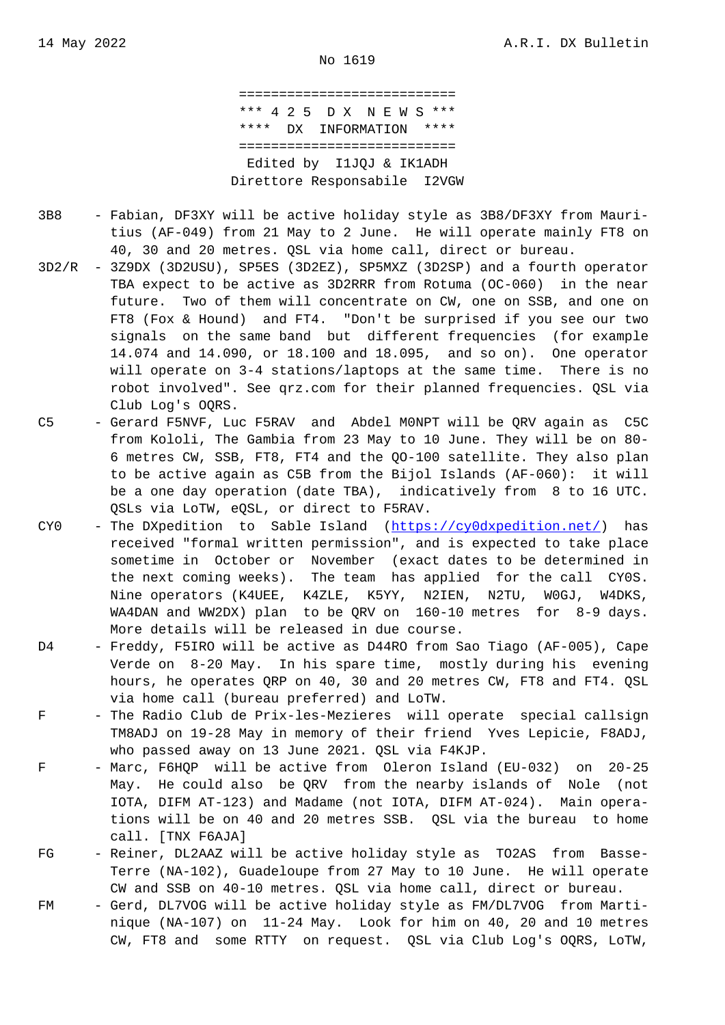=========================== \*\*\* 4 2 5 D X N E W S \*\*\* \*\*\*\* DX INFORMATION \*\*\*\* =========================== Edited by I1JQJ & IK1ADH Direttore Responsabile I2VGW

- 3B8 Fabian, DF3XY will be active holiday style as 3B8/DF3XY from Mauri tius (AF-049) from 21 May to 2 June. He will operate mainly FT8 on 40, 30 and 20 metres. QSL via home call, direct or bureau.
- 3D2/R 3Z9DX (3D2USU), SP5ES (3D2EZ), SP5MXZ (3D2SP) and a fourth operator TBA expect to be active as 3D2RRR from Rotuma (OC-060) in the near future. Two of them will concentrate on CW, one on SSB, and one on FT8 (Fox & Hound) and FT4. "Don't be surprised if you see our two signals on the same band but different frequencies (for example 14.074 and 14.090, or 18.100 and 18.095, and so on). One operator will operate on 3-4 stations/laptops at the same time. There is no robot involved". See qrz.com for their planned frequencies. QSL via Club Log's OQRS.
- C5 Gerard F5NVF, Luc F5RAV and Abdel M0NPT will be QRV again as C5C from Kololi, The Gambia from 23 May to 10 June. They will be on 80- 6 metres CW, SSB, FT8, FT4 and the QO-100 satellite. They also plan to be active again as C5B from the Bijol Islands (AF-060): it will be a one day operation (date TBA), indicatively from 8 to 16 UTC. QSLs via LoTW, eQSL, or direct to F5RAV.
- CY0 The DXpedition to Sable Island (https://cy0dxpedition.net/) has received "formal written permission", and is expected to take place sometime in October or November (exact dates to be determined in the next coming weeks). The team has applied for the call CY0S. Nine operators (K4UEE, K4ZLE, K5Y[Y, N2IEN, N2TU, W0GJ,](https://cy0dxpedition.net/) W4DKS, WA4DAN and WW2DX) plan to be QRV on 160-10 metres for 8-9 days. More details will be released in due course.
- D4 Freddy, F5IRO will be active as D44RO from Sao Tiago (AF-005), Cape Verde on 8-20 May. In his spare time, mostly during his evening hours, he operates QRP on 40, 30 and 20 metres CW, FT8 and FT4. QSL via home call (bureau preferred) and LoTW.
- F The Radio Club de Prix-les-Mezieres will operate special callsign TM8ADJ on 19-28 May in memory of their friend Yves Lepicie, F8ADJ, who passed away on 13 June 2021. QSL via F4KJP.
- F Marc, F6HQP will be active from Oleron Island (EU-032) on 20-25 May. He could also be QRV from the nearby islands of Nole (not IOTA, DIFM AT-123) and Madame (not IOTA, DIFM AT-024). Main opera tions will be on 40 and 20 metres SSB. QSL via the bureau to home call. [TNX F6AJA]
- FG Reiner, DL2AAZ will be active holiday style as TO2AS from Basse- Terre (NA-102), Guadeloupe from 27 May to 10 June. He will operate CW and SSB on 40-10 metres. QSL via home call, direct or bureau.
- FM Gerd, DL7VOG will be active holiday style as FM/DL7VOG from Marti nique (NA-107) on 11-24 May. Look for him on 40, 20 and 10 metres CW, FT8 and some RTTY on request. QSL via Club Log's OQRS, LoTW,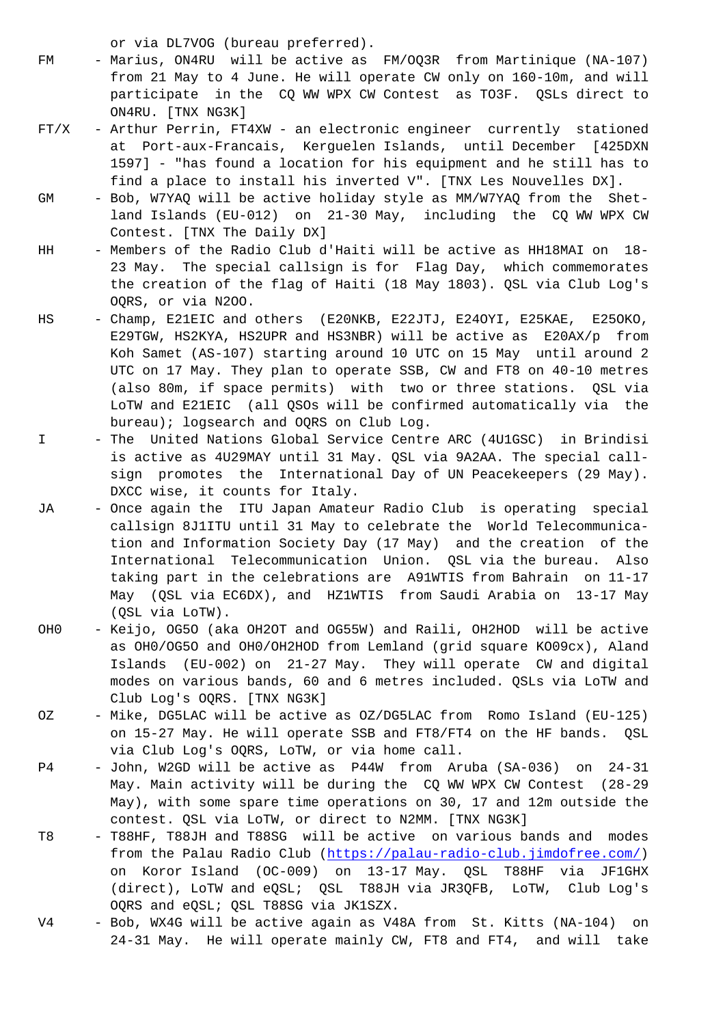- FM Marius, ON4RU will be active as FM/OQ3R from Martinique (NA-107) from 21 May to 4 June. He will operate CW only on 160-10m, and will participate in the CQ WW WPX CW Contest as TO3F. QSLs direct to ON4RU. [TNX NG3K]
- FT/X Arthur Perrin, FT4XW an electronic engineer currently stationed at Port-aux-Francais, Kerguelen Islands, until December [425DXN 1597] - "has found a location for his equipment and he still has to find a place to install his inverted V". [TNX Les Nouvelles DX].
- GM Bob, W7YAQ will be active holiday style as MM/W7YAQ from the Shet land Islands (EU-012) on 21-30 May, including the CQ WW WPX CW Contest. [TNX The Daily DX]
- HH Members of the Radio Club d'Haiti will be active as HH18MAI on 18- 23 May. The special callsign is for Flag Day, which commemorates the creation of the flag of Haiti (18 May 1803). QSL via Club Log's OQRS, or via N2OO.
- HS Champ, E21EIC and others (E20NKB, E22JTJ, E24OYI, E25KAE, E25OKO, E29TGW, HS2KYA, HS2UPR and HS3NBR) will be active as E20AX/p from Koh Samet (AS-107) starting around 10 UTC on 15 May until around 2 UTC on 17 May. They plan to operate SSB, CW and FT8 on 40-10 metres (also 80m, if space permits) with two or three stations. QSL via LoTW and E21EIC (all QSOs will be confirmed automatically via the bureau); logsearch and OQRS on Club Log.
- I The United Nations Global Service Centre ARC (4U1GSC) in Brindisi is active as 4U29MAY until 31 May. QSL via 9A2AA. The special call sign promotes the International Day of UN Peacekeepers (29 May). DXCC wise, it counts for Italy.
- JA Once again the ITU Japan Amateur Radio Club is operating special callsign 8J1ITU until 31 May to celebrate the World Telecommunica tion and Information Society Day (17 May) and the creation of the International Telecommunication Union. QSL via the bureau. Also taking part in the celebrations are A91WTIS from Bahrain on 11-17 May (QSL via EC6DX), and HZ1WTIS from Saudi Arabia on 13-17 May (QSL via LoTW).
- OH0 Keijo, OG5O (aka OH2OT and OG55W) and Raili, OH2HOD will be active as OH0/OG5O and OH0/OH2HOD from Lemland (grid square KO09cx), Aland Islands (EU-002) on 21-27 May. They will operate CW and digital modes on various bands, 60 and 6 metres included. QSLs via LoTW and Club Log's OQRS. [TNX NG3K]
- OZ Mike, DG5LAC will be active as OZ/DG5LAC from Romo Island (EU-125) on 15-27 May. He will operate SSB and FT8/FT4 on the HF bands. QSL via Club Log's OQRS, LoTW, or via home call.
- P4 John, W2GD will be active as P44W from Aruba (SA-036) on 24-31 May. Main activity will be during the CQ WW WPX CW Contest (28-29 May), with some spare time operations on 30, 17 and 12m outside the contest. QSL via LoTW, or direct to N2MM. [TNX NG3K]
- T8 T88HF, T88JH and T88SG will be active on various bands and modes from the Palau Radio Club (https://palau-radio-club.jimdofree.com/) on Koror Island (OC-009) on 13-17 May. QSL T88HF via JF1GHX (direct), LoTW and eQSL; QSL T88JH via JR3QFB, LoTW, Club Log's OQRS and eQSL; QSL T88SG via JK1SZX.
- V4 Bob, WX4G will be active ag[ain as V48A from St. Kitts \(NA-104\) o](https://palau-radio-club.jimdofree.com/)n 24-31 May. He will operate mainly CW, FT8 and FT4, and will take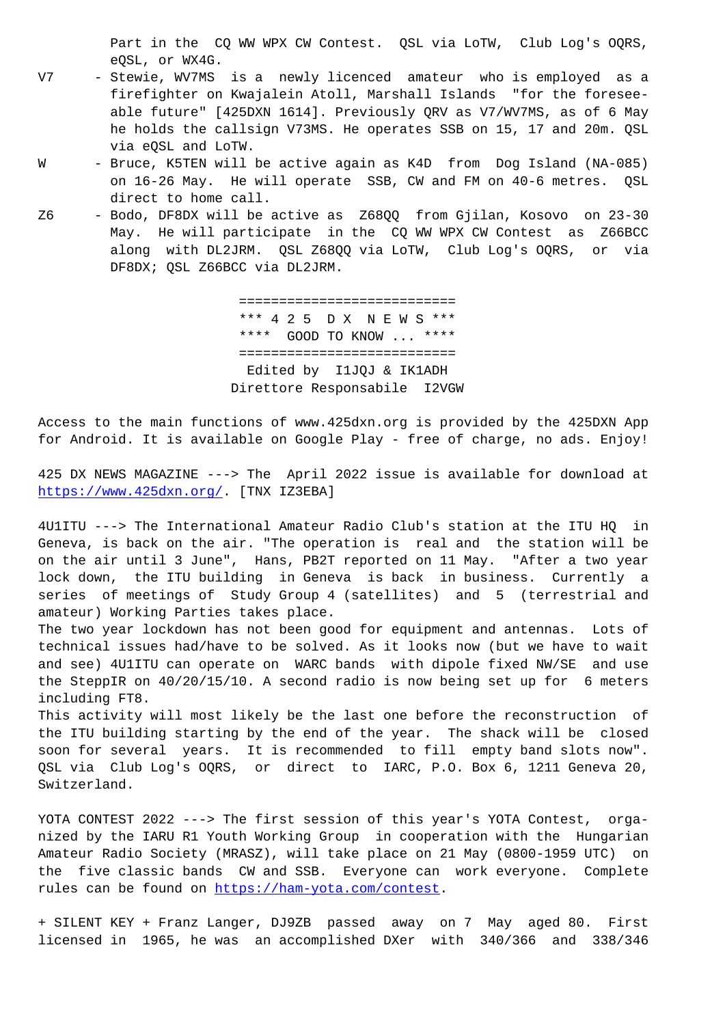eQSL, or WX4G.

- V7 Stewie, WV7MS is a newly licenced amateur who is employed as a firefighter on Kwajalein Atoll, Marshall Islands "for the foresee able future" [425DXN 1614]. Previously QRV as V7/WV7MS, as of 6 May he holds the callsign V73MS. He operates SSB on 15, 17 and 20m. QSL via eQSL and LoTW.
- W Bruce, K5TEN will be active again as K4D from Dog Island (NA-085) on 16-26 May. He will operate SSB, CW and FM on 40-6 metres. QSL direct to home call.
- Z6 Bodo, DF8DX will be active as Z68QQ from Gjilan, Kosovo on 23-30 May. He will participate in the CQ WW WPX CW Contest as Z66BCC along with DL2JRM. QSL Z68QQ via LoTW, Club Log's OQRS, or via DF8DX; QSL Z66BCC via DL2JRM.

 =========================== \*\*\* 4 2 5 D X N E W S \*\*\* \*\*\*\* GOOD TO KNOW ... \*\*\*\* =========================== Edited by I1JQJ & IK1ADH Direttore Responsabile I2VGW

Access to the main functions of www.425dxn.org is provided by the 425DXN App for Android. It is available on Google Play - free of charge, no ads. Enjoy!

425 DX NEWS MAGAZINE ---> The April 2022 issue is available for download at https://www.425dxn.org/. [TNX IZ3EBA]

4U1ITU ---> The International Amateur Radio Club's station at the ITU HQ in Geneva, is back on the air. "The operation is real and the station will be [on the air until 3 June"](https://www.425dxn.org/), Hans, PB2T reported on 11 May. "After a two year lock down, the ITU building in Geneva is back in business. Currently a series of meetings of Study Group 4 (satellites) and 5 (terrestrial and amateur) Working Parties takes place.

The two year lockdown has not been good for equipment and antennas. Lots of technical issues had/have to be solved. As it looks now (but we have to wait and see) 4U1ITU can operate on WARC bands with dipole fixed NW/SE and use the SteppIR on 40/20/15/10. A second radio is now being set up for 6 meters including FT8.

This activity will most likely be the last one before the reconstruction of the ITU building starting by the end of the year. The shack will be closed soon for several years. It is recommended to fill empty band slots now". QSL via Club Log's OQRS, or direct to IARC, P.O. Box 6, 1211 Geneva 20, Switzerland.

YOTA CONTEST 2022 ---> The first session of this year's YOTA Contest, organized by the IARU R1 Youth Working Group in cooperation with the Hungarian Amateur Radio Society (MRASZ), will take place on 21 May (0800-1959 UTC) on the five classic bands CW and SSB. Everyone can work everyone. Complete rules can be found on https://ham-yota.com/contest.

+ SILENT KEY + Franz Langer, DJ9ZB passed away on 7 May aged 80. First licensed in 1965, he [was an accomplished DXer w](https://ham-yota.com/contest)ith 340/366 and 338/346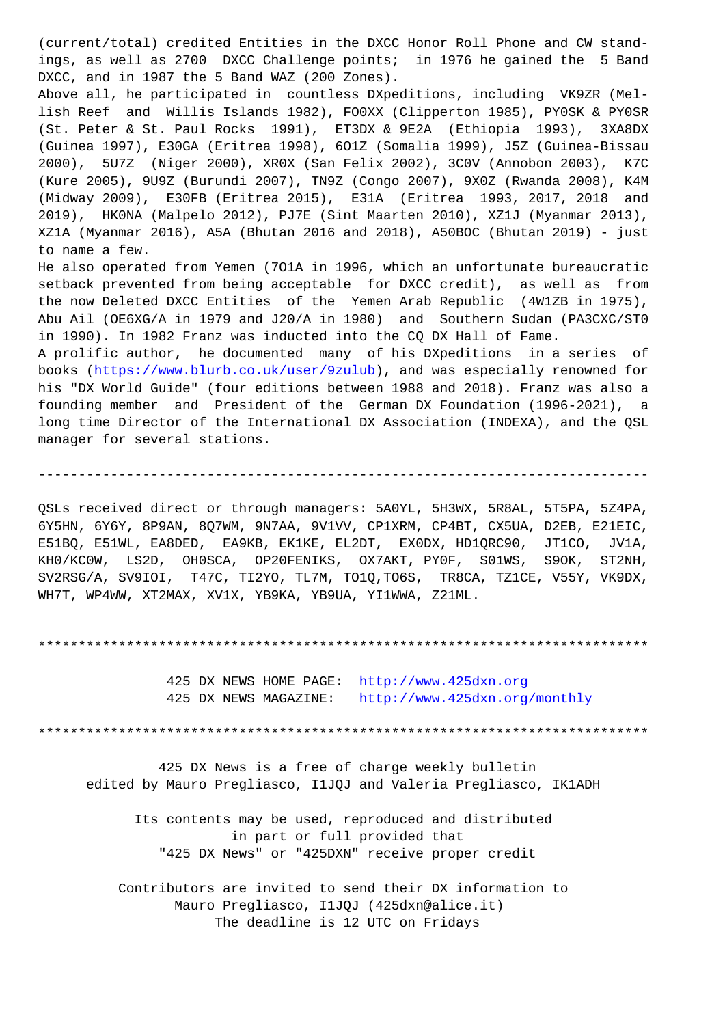ings, as well as 2700 DXCC Challenge points; in 1976 he gained the 5 Band DXCC, and in 1987 the 5 Band WAZ (200 Zones). Above all, he participated in countless DXpeditions, including VK9ZR (Mellish Reef and Willis Islands 1982), FO0XX (Clipperton 1985), PY0SK & PY0SR (St. Peter & St. Paul Rocks 1991), ET3DX & 9E2A (Ethiopia 1993), 3XA8DX (Guinea 1997), E30GA (Eritrea 1998), 6O1Z (Somalia 1999), J5Z (Guinea-Bissau 2000), 5U7Z (Niger 2000), XR0X (San Felix 2002), 3C0V (Annobon 2003), K7C (Kure 2005), 9U9Z (Burundi 2007), TN9Z (Congo 2007), 9X0Z (Rwanda 2008), K4M (Midway 2009), E30FB (Eritrea 2015), E31A (Eritrea 1993, 2017, 2018 and 2019), HK0NA (Malpelo 2012), PJ7E (Sint Maarten 2010), XZ1J (Myanmar 2013), XZ1A (Myanmar 2016), A5A (Bhutan 2016 and 2018), A50BOC (Bhutan 2019) - just to name a few. He also operated from Yemen (7O1A in 1996, which an unfortunate bureaucratic setback prevented from being acceptable for DXCC credit), as well as from the now Deleted DXCC Entities of the Yemen Arab Republic (4W1ZB in 1975), Abu Ail (OE6XG/A in 1979 and J20/A in 1980) and Southern Sudan (PA3CXC/ST0 in 1990). In 1982 Franz was inducted into the CQ DX Hall of Fame. A prolific author, he documented many of his DXpeditions in a series of books (https://www.blurb.co.uk/user/9zulub), and was especially renowned for his "DX World Guide" (four editions between 1988 and 2018). Franz was also a founding member and President of the German DX Foundation (1996-2021), a long t[ime Director of the International DX](https://www.blurb.co.uk/user/9zulub) Association (INDEXA), and the QSL manager for several stations.

QSLs received direct or through managers: 5A0YL, 5H3WX, 5R8AL, 5T5PA, 5Z4PA, 6Y5HN, 6Y6Y, 8P9AN, 8Q7WM, 9N7AA, 9V1VV, CP1XRM, CP4BT, CX5UA, D2EB, E21EIC, E51BQ, E51WL, EA8DED, EA9KB, EK1KE, EL2DT, EX0DX, HD1QRC90, JT1CO, JV1A, KH0/KC0W, LS2D, OH0SCA, OP20FENIKS, OX7AKT, PY0F, S01WS, S9OK, ST2NH, SV2RSG/A, SV9IOI, T47C, TI2YO, TL7M, TO1Q,TO6S, TR8CA, TZ1CE, V55Y, VK9DX, WH7T, WP4WW, XT2MAX, XV1X, YB9KA, YB9UA, YI1WWA, Z21ML.

----------------------------------------------------------------------------

\*\*\*\*\*\*\*\*\*\*\*\*\*\*\*\*\*\*\*\*\*\*\*\*\*\*\*\*\*\*\*\*\*\*\*\*\*\*\*\*\*\*\*\*\*\*\*\*\*\*\*\*\*\*\*\*\*\*\*\*\*\*\*\*\*\*\*\*\*\*\*\*\*\*\*\*

425 DX NEWS HOME PAGE: http://www.425dxn.org 425 DX NEWS MAGAZINE: http://www.425dxn.org/monthly

\*\*\*\*\*\*\*\*\*\*\*\*\*\*\*\*\*\*\*\*\*\*\*\*\*\*\*\*\*\*\*\*\*\*\*\*\*\*\*[\\*\\*\\*\\*\\*\\*\\*\\*\\*\\*\\*\\*\\*\\*\\*\\*\\*\\*\\*\\*\\*\\*\\*](http://www.425dxn.org)\*\*\*\*\*\*\*\*\*\*\*\*\*\*

 425 DX News is a free of [charge weekly bulletin](http://www.425dxn.org/monthly) edited by Mauro Pregliasco, I1JQJ and Valeria Pregliasco, IK1ADH

 Its contents may be used, reproduced and distributed in part or full provided that "425 DX News" or "425DXN" receive proper credit

 Contributors are invited to send their DX information to Mauro Pregliasco, I1JQJ (425dxn@alice.it) The deadline is 12 UTC on Fridays